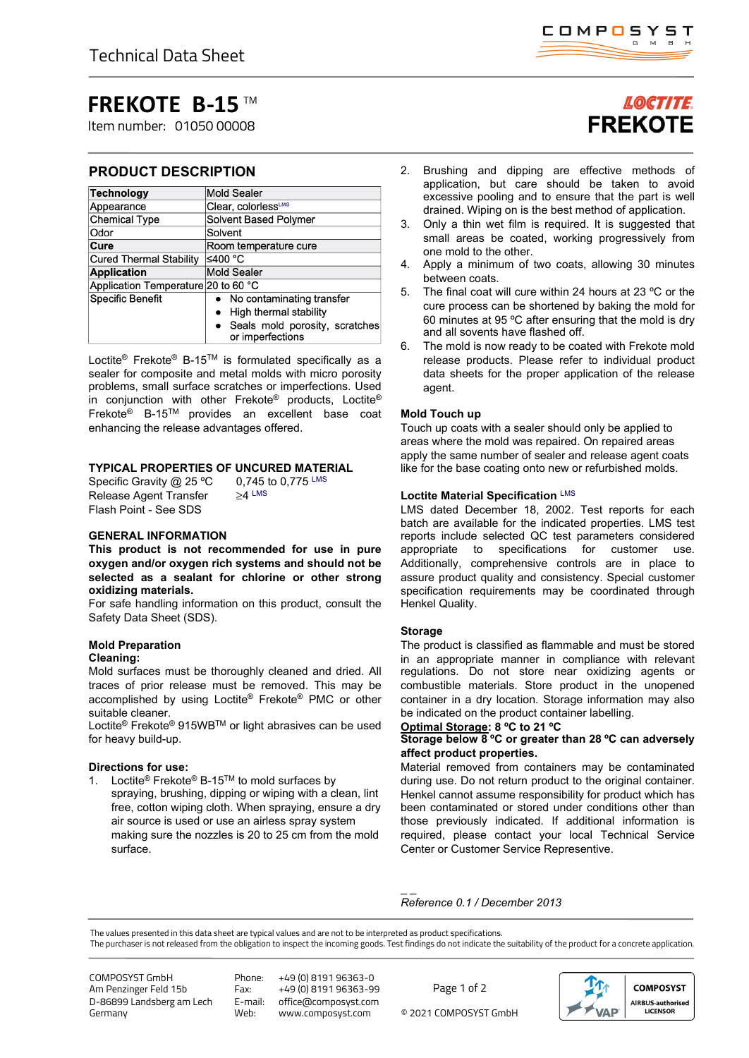## **FREKOTE B-15** TM

Item number: 01050 00008

### **PRODUCT DESCRIPTION**

| <b>Technology</b>                   | <b>Mold Sealer</b>                                   |
|-------------------------------------|------------------------------------------------------|
| Appearance                          | Clear, colorlessLMS                                  |
| <b>Chemical Type</b>                | Solvent Based Polymer                                |
| Odor                                | Solvent                                              |
| Cure                                | Room temperature cure                                |
| <b>Cured Thermal Stability</b>      | ≤400 °C                                              |
| <b>Application</b>                  | <b>Mold Sealer</b>                                   |
| Application Temperature 20 to 60 °C |                                                      |
| Specific Benefit                    | • No contaminating transfer                          |
|                                     | High thermal stability                               |
|                                     | • Seals mold porosity, scratches<br>or imperfections |

Loctite® Frekote® B-15TM is formulated specifically as a sealer for composite and metal molds with micro porosity problems, small surface scratches or imperfections. Used in conjunction with other Frekote® products, Loctite® Frekote® B-15TM provides an excellent base coat enhancing the release advantages offered.

# **TYPICAL PROPERTIES OF UNCURED MATERIAL**<br>Specific Gravity @ 25 °C 0,745 to 0,775 LMS

Specific Gravity @ 25 °C Release Agent Transfer ≥4 LMS Flash Point - See SDS

#### **GENERAL INFORMATION**

**This product is not recommended for use in pure oxygen and/or oxygen rich systems and should not be selected as a sealant for chlorine or other strong oxidizing materials.**

For safe handling information on this product, consult the Safety Data Sheet (SDS).

#### **Mold Preparation**

#### **Cleaning:**

Mold surfaces must be thoroughly cleaned and dried. All traces of prior release must be removed. This may be accomplished by using Loctite® Frekote® PMC or other suitable cleaner.

Loctite® Frekote® 915WBTM or light abrasives can be used for heavy build-up.

#### **Directions for use:**

1. Loctite<sup>®</sup> Frekote<sup>®</sup> B-15<sup>TM</sup> to mold surfaces by spraying, brushing, dipping or wiping with a clean, lint free, cotton wiping cloth. When spraying, ensure a dry air source is used or use an airless spray system making sure the nozzles is 20 to 25 cm from the mold surface.

### **LOCTITE FREKOTE**

- 2. Brushing and dipping are effective methods of application, but care should be taken to avoid excessive pooling and to ensure that the part is well drained. Wiping on is the best method of application.
- 3. Only a thin wet film is required. It is suggested that small areas be coated, working progressively from one mold to the other.
- 4. Apply a minimum of two coats, allowing 30 minutes between coats.
- 5. The final coat will cure within 24 hours at 23 ºC or the cure process can be shortened by baking the mold for 60 minutes at 95 ºC after ensuring that the mold is dry and all sovents have flashed off.
- 6. The mold is now ready to be coated with Frekote mold release products. Please refer to individual product data sheets for the proper application of the release agent.

#### **Mold Touch up**

Touch up coats with a sealer should only be applied to areas where the mold was repaired. On repaired areas apply the same number of sealer and release agent coats like for the base coating onto new or refurbished molds.

#### **Loctite Material Specification** LMS

LMS dated December 18, 2002. Test reports for each batch are available for the indicated properties. LMS test reports include selected QC test parameters considered appropriate to specifications for customer use. Additionally, comprehensive controls are in place to assure product quality and consistency. Special customer specification requirements may be coordinated through Henkel Quality.

#### **Storage**

The product is classified as flammable and must be stored in an appropriate manner in compliance with relevant regulations. Do not store near oxidizing agents or combustible materials. Store product in the unopened container in a dry location. Storage information may also be indicated on the product container labelling.

#### **Optimal Storage: 8 ºC to 21 ºC**

#### **Storage below 8 ºC or greater than 28 ºC can adversely affect product properties.**

Material removed from containers may be contaminated during use. Do not return product to the original container. Henkel cannot assume responsibility for product which has been contaminated or stored under conditions other than those previously indicated. If additional information is required, please contact your local Technical Service Center or Customer Service Representive.

*Reference 0.1 / December 2013* 

The values presented in this data sheet are typical values and are not to be interpreted as product specifications.

The purchaser is not released from the obligation to inspect the incoming goods. Test findings do not indicate the suitability of the product for a concrete application.

 $\overline{\phantom{a}}$ 

COMPOSYST GmbH Am Penzinger Feld 15b D-86899 Landsberg am Lech Germany

Phone: +49 (0) 8191 96363-0 Fax: +49 (0) 8191 96363-99<br>E-mail: office@composyst.com E-mail: office@composyst.com

© 2021 COMPOSYST GmbH Page 1 of 2